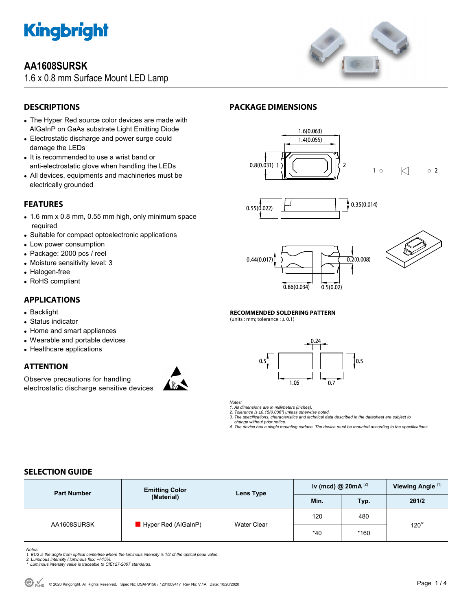

# **AA1608SURSK**

1.6 x 0.8 mm Surface Mount LED Lamp



# **DESCRIPTIONS**

- The Hyper Red source color devices are made with AlGaInP on GaAs substrate Light Emitting Diode
- Electrostatic discharge and power surge could damage the LEDs
- It is recommended to use a wrist band or anti-electrostatic glove when handling the LEDs
- All devices, equipments and machineries must be electrically grounded

# **FEATURES**

- 1.6 mm x 0.8 mm, 0.55 mm high, only minimum space required
- Suitable for compact optoelectronic applications
- Low power consumption
- Package: 2000 pcs / reel
- Moisture sensitivity level: 3
- Halogen-free
- RoHS compliant

### **APPLICATIONS**

- Backlight
- Status indicator
- Home and smart appliances
- Wearable and portable devices
- Healthcare applications

# **ATTENTION**

Observe precautions for handling electrostatic discharge sensitive devices



# **PACKAGE DIMENSIONS**









 $\circ$  2

#### **RECOMMENDED SOLDERING PATTERN**

(units : mm; tolerance :  $\pm$  0.1)



*Notes:* 

*1. All dimensions are in millimeters (inches). 2. Tolerance is ±0.15(0.006") unless otherwise noted.* 

*3. The specifications, characteristics and technical data described in the datasheet are subject to* 

 *change without prior notice. 4. The device has a single mounting surface. The device must be mounted according to the specifications.* 

# **SELECTION GUIDE**

| <b>Part Number</b> | <b>Emitting Color</b><br>(Material) | Lens Type   | Iv (mcd) @ 20mA $^{[2]}$ |      | Viewing Angle <sup>[1]</sup> |  |
|--------------------|-------------------------------------|-------------|--------------------------|------|------------------------------|--|
|                    |                                     |             | Min.                     | Typ. | 201/2                        |  |
| AA1608SURSK        | $\blacksquare$ Hyper Red (AlGaInP)  | Water Clear | 120                      | 480  |                              |  |
|                    |                                     |             | $*40$                    | *160 | $120^\circ$                  |  |

*Notes:* 

*1. θ1/2 is the angle from optical centerline where the luminous intensity is 1/2 of the optical peak value.* 

*2. Luminous intensity / luminous flux: +/-15%. \* Luminous intensity value is traceable to CIE127-2007 standards.*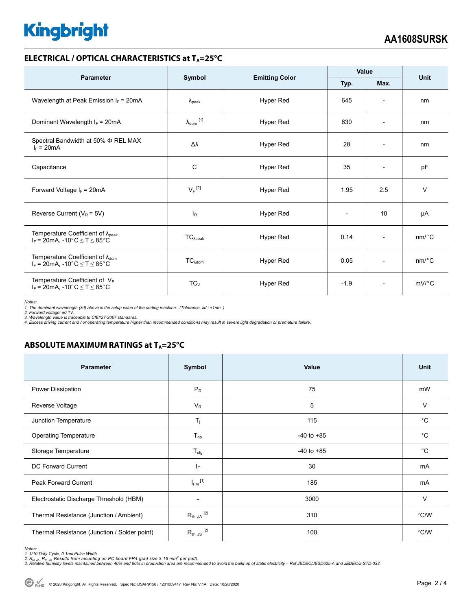# **Kingbright**

#### **ELECTRICAL / OPTICAL CHARACTERISTICS at T<sub>A</sub>=25°C**

| <b>Parameter</b>                                                                                                          | Symbol               | <b>Emitting Color</b> | Value  |                              | <b>Unit</b>           |
|---------------------------------------------------------------------------------------------------------------------------|----------------------|-----------------------|--------|------------------------------|-----------------------|
|                                                                                                                           |                      |                       | Typ.   | Max.                         |                       |
| Wavelength at Peak Emission $I_F$ = 20mA                                                                                  | $\lambda_{\rm peak}$ | Hyper Red             | 645    | $\overline{\phantom{a}}$     | nm                    |
| Dominant Wavelength $I_F = 20mA$                                                                                          | $\lambda_{dom}$ [1]  | Hyper Red             | 630    | $\overline{\phantom{a}}$     | nm                    |
| Spectral Bandwidth at 50% $\Phi$ REL MAX<br>$I_F = 20mA$                                                                  | Δλ                   | Hyper Red             | 28     | $\overline{\phantom{a}}$     | nm                    |
| Capacitance                                                                                                               | C                    | Hyper Red             | 35     | $\qquad \qquad \blacksquare$ | pF                    |
| Forward Voltage $I_F = 20mA$                                                                                              | $V_F$ <sup>[2]</sup> | Hyper Red             | 1.95   | 2.5                          | $\vee$                |
| Reverse Current ( $V_R$ = 5V)                                                                                             | <sub>R</sub>         | Hyper Red             |        | 10                           | μA                    |
| Temperature Coefficient of $\lambda_{peak}$<br>$I_F = 20 \text{mA}, -10^{\circ} \text{C} \leq T \leq 85^{\circ} \text{C}$ | $TC_{\lambda peak}$  | Hyper Red             | 0.14   | $\overline{\phantom{a}}$     | $nm$ <sup>o</sup> $C$ |
| Temperature Coefficient of $\lambda_{\text{dom}}$<br>$I_F = 20$ mA, -10°C $\le T \le 85$ °C                               | $TC_{\lambda dom}$   | Hyper Red             | 0.05   | $\overline{\phantom{a}}$     | $nm$ <sup>o</sup> $C$ |
| Temperature Coefficient of VF<br>$I_F$ = 20mA, -10°C $\leq$ T $\leq$ 85°C                                                 | $TC_{V}$             | Hyper Red             | $-1.9$ | $\overline{\phantom{a}}$     | $mV$ °C               |

*Notes:* 

1. The dominant wavelength (λd) above is the setup value of the sorting machine. (Tolerance λd : ±1nm. )<br>2. Forward voltage: ±0.1V.<br>3. Wavelength value is traceable to CIE127-2007 standards.

*4. Excess driving current and / or operating temperature higher than recommended conditions may result in severe light degradation or premature failure.* 

# **ABSOLUTE MAXIMUM RATINGS at T<sub>A</sub>=25°C**

| <b>Parameter</b>                             | Symbol                  | Value          | <b>Unit</b> |
|----------------------------------------------|-------------------------|----------------|-------------|
| Power Dissipation                            | $P_D$                   | 75             | mW          |
| Reverse Voltage                              | $V_R$                   | 5              | $\vee$      |
| Junction Temperature                         | $T_j$                   | 115            | $^{\circ}C$ |
| <b>Operating Temperature</b>                 | $T_{op}$                | $-40$ to $+85$ | $^{\circ}C$ |
| Storage Temperature                          | $T_{\text{stg}}$        | $-40$ to $+85$ | $^{\circ}C$ |
| <b>DC Forward Current</b>                    | $I_F$                   | 30             | mA          |
| <b>Peak Forward Current</b>                  | $I_{FM}$ <sup>[1]</sup> | 185            | mA          |
| Electrostatic Discharge Threshold (HBM)      | ۰                       | 3000           | $\vee$      |
| Thermal Resistance (Junction / Ambient)      | $R_{th}$ JA $^{[2]}$    | 310            | °C/W        |
| Thermal Resistance (Junction / Solder point) | $R_{th}$ JS $^{[2]}$    | 100            | °C/W        |

*Notes:* 

1. 1/10 Duty Cycle, 0.1ms Pulse Width.<br>2. R<sub>th Ja</sub> ,R<sub>h JS</sub> Results from mounting on PC board FR4 (pad size ≥ 16 mm<sup>2</sup> per pad).<br>3. Relative humidity levels maintained between 40% and 60% in production area are recommende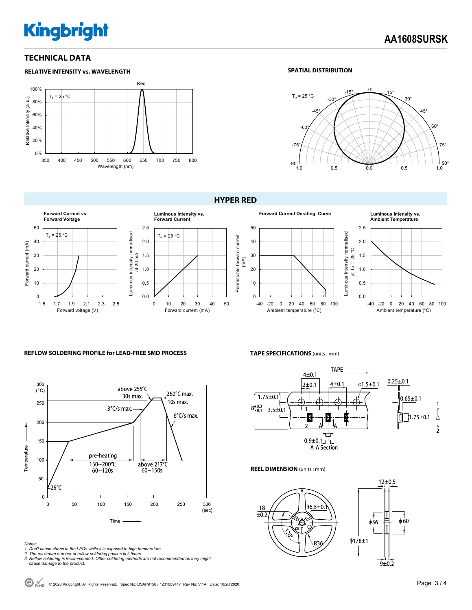# **Kingbright**

### **TECHNICAL DATA**



#### **SPATIAL DISTRIBUTION**



#### **HYPER RED**







#### **REFLOW SOLDERING PROFILE for LEAD-FREE SMD PROCESS**



*Notes: 1. Don't cause stress to the LEDs while it is exposed to high temperature. 2. The maximum number of reflow soldering passes is 2 times.* 

*3. Reflow soldering is recommended. Other soldering methods are not recommended as they might cause damage to the product.* 

#### **TAPE SPECIFICATIONS** (units : mm)



**REEL DIMENSION** (units : mm)